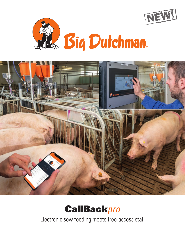







Electronic sow feeding meets free-access stall